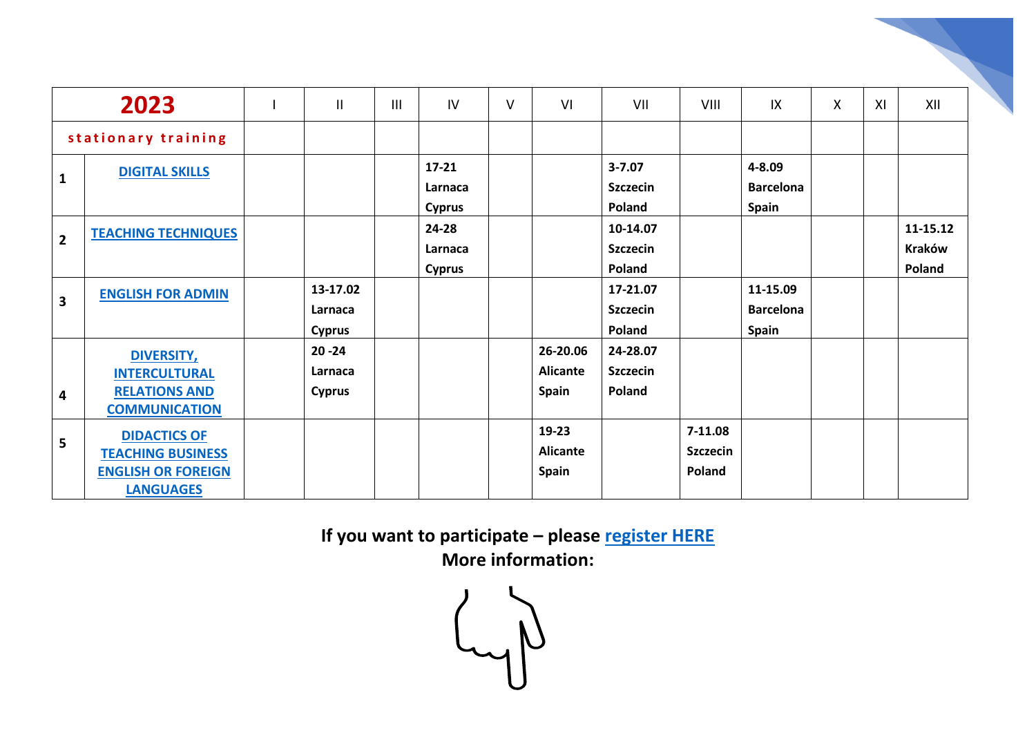| 2023                |                                                                                                  | $\mathbf{I}$                          | III | IV                                    | $\vee$ | VI                                          | VII                                     | VIII                                   | IX                                           | X | XI | XII                                 |
|---------------------|--------------------------------------------------------------------------------------------------|---------------------------------------|-----|---------------------------------------|--------|---------------------------------------------|-----------------------------------------|----------------------------------------|----------------------------------------------|---|----|-------------------------------------|
| stationary training |                                                                                                  |                                       |     |                                       |        |                                             |                                         |                                        |                                              |   |    |                                     |
| $\mathbf{1}$        | <b>DIGITAL SKILLS</b>                                                                            |                                       |     | $17 - 21$<br>Larnaca<br><b>Cyprus</b> |        |                                             | $3 - 7.07$<br><b>Szczecin</b><br>Poland |                                        | 4-8.09<br><b>Barcelona</b><br><b>Spain</b>   |   |    |                                     |
| $\overline{2}$      | <b>TEACHING TECHNIQUES</b>                                                                       |                                       |     | 24-28<br>Larnaca<br><b>Cyprus</b>     |        |                                             | 10-14.07<br><b>Szczecin</b><br>Poland   |                                        |                                              |   |    | 11-15.12<br><b>Kraków</b><br>Poland |
| 3                   | <b>ENGLISH FOR ADMIN</b>                                                                         | 13-17.02<br>Larnaca<br><b>Cyprus</b>  |     |                                       |        |                                             | 17-21.07<br><b>Szczecin</b><br>Poland   |                                        | 11-15.09<br><b>Barcelona</b><br><b>Spain</b> |   |    |                                     |
| 4                   | <b>DIVERSITY,</b><br><b>INTERCULTURAL</b><br><b>RELATIONS AND</b><br><b>COMMUNICATION</b>        | $20 - 24$<br>Larnaca<br><b>Cyprus</b> |     |                                       |        | 26-20.06<br><b>Alicante</b><br><b>Spain</b> | 24-28.07<br><b>Szczecin</b><br>Poland   |                                        |                                              |   |    |                                     |
| 5                   | <b>DIDACTICS OF</b><br><b>TEACHING BUSINESS</b><br><b>ENGLISH OR FOREIGN</b><br><b>LANGUAGES</b> |                                       |     |                                       |        | 19-23<br><b>Alicante</b><br><b>Spain</b>    |                                         | $7-11.08$<br><b>Szczecin</b><br>Poland |                                              |   |    |                                     |

**If you want to participate – please [register HERE](https://docs.google.com/forms/d/e/1FAIpQLSf6miCOFcabLTvdw5Eu9gXCSqwGPk25P6YPYPTBzh1ZGYW1RA/viewform) More information:**